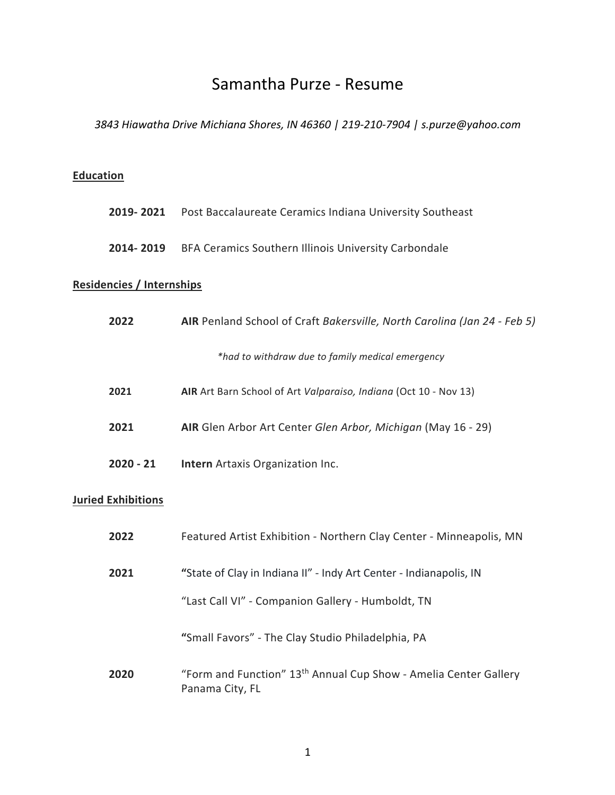# Samantha Purze - Resume

*3843 Hiawatha Drive Michiana Shores, IN 46360 | 219-210-7904 | s.purze@yahoo.com*

### **Education**

| 2019- 2021 | Post Baccalaureate Ceramics Indiana University Southeast |  |  |  |
|------------|----------------------------------------------------------|--|--|--|
|------------|----------------------------------------------------------|--|--|--|

**2014- 2019** BFA Ceramics Southern Illinois University Carbondale

#### **Residencies / Internships**

| 2022                      | AIR Penland School of Craft Bakersville, North Carolina (Jan 24 - Feb 5)                        |  |
|---------------------------|-------------------------------------------------------------------------------------------------|--|
|                           | *had to withdraw due to family medical emergency                                                |  |
| 2021                      | AIR Art Barn School of Art Valparaiso, Indiana (Oct 10 - Nov 13)                                |  |
| 2021                      | AIR Glen Arbor Art Center Glen Arbor, Michigan (May 16 - 29)                                    |  |
| $2020 - 21$               | <b>Intern</b> Artaxis Organization Inc.                                                         |  |
| <b>Juried Exhibitions</b> |                                                                                                 |  |
| 2022                      | Featured Artist Exhibition - Northern Clay Center - Minneapolis, MN                             |  |
| 2021                      | "State of Clay in Indiana II" - Indy Art Center - Indianapolis, IN                              |  |
|                           | "Last Call VI" - Companion Gallery - Humboldt, TN                                               |  |
|                           | "Small Favors" - The Clay Studio Philadelphia, PA                                               |  |
| 2020                      | "Form and Function" 13 <sup>th</sup> Annual Cup Show - Amelia Center Gallery<br>Panama City, FL |  |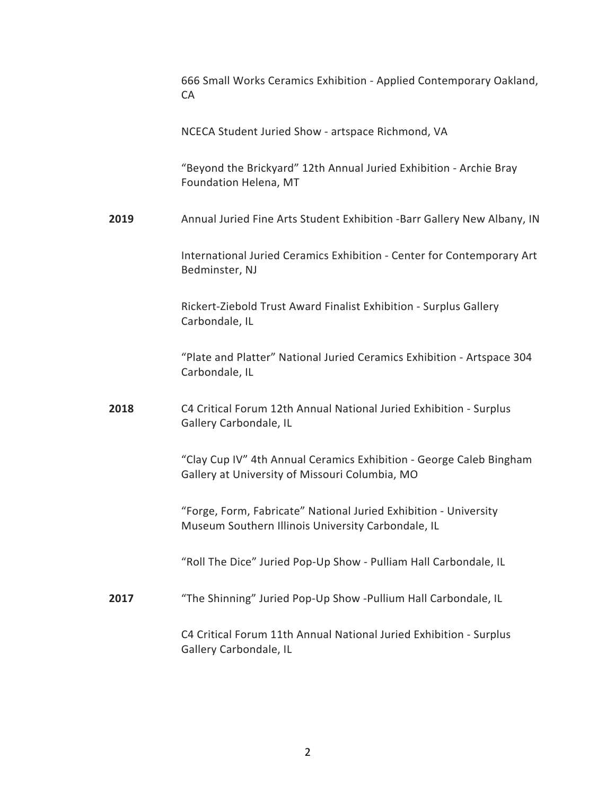|      | 666 Small Works Ceramics Exhibition - Applied Contemporary Oakland,<br><b>CA</b>                                       |
|------|------------------------------------------------------------------------------------------------------------------------|
|      | NCECA Student Juried Show - artspace Richmond, VA                                                                      |
|      | "Beyond the Brickyard" 12th Annual Juried Exhibition - Archie Bray<br>Foundation Helena, MT                            |
| 2019 | Annual Juried Fine Arts Student Exhibition -Barr Gallery New Albany, IN                                                |
|      | International Juried Ceramics Exhibition - Center for Contemporary Art<br>Bedminster, NJ                               |
|      | Rickert-Ziebold Trust Award Finalist Exhibition - Surplus Gallery<br>Carbondale, IL                                    |
|      | "Plate and Platter" National Juried Ceramics Exhibition - Artspace 304<br>Carbondale, IL                               |
| 2018 | C4 Critical Forum 12th Annual National Juried Exhibition - Surplus<br>Gallery Carbondale, IL                           |
|      | "Clay Cup IV" 4th Annual Ceramics Exhibition - George Caleb Bingham<br>Gallery at University of Missouri Columbia, MO  |
|      | "Forge, Form, Fabricate" National Juried Exhibition - University<br>Museum Southern Illinois University Carbondale, IL |
|      | "Roll The Dice" Juried Pop-Up Show - Pulliam Hall Carbondale, IL                                                       |
| 2017 | "The Shinning" Juried Pop-Up Show -Pullium Hall Carbondale, IL                                                         |
|      | C4 Critical Forum 11th Annual National Juried Exhibition - Surplus<br>Gallery Carbondale, IL                           |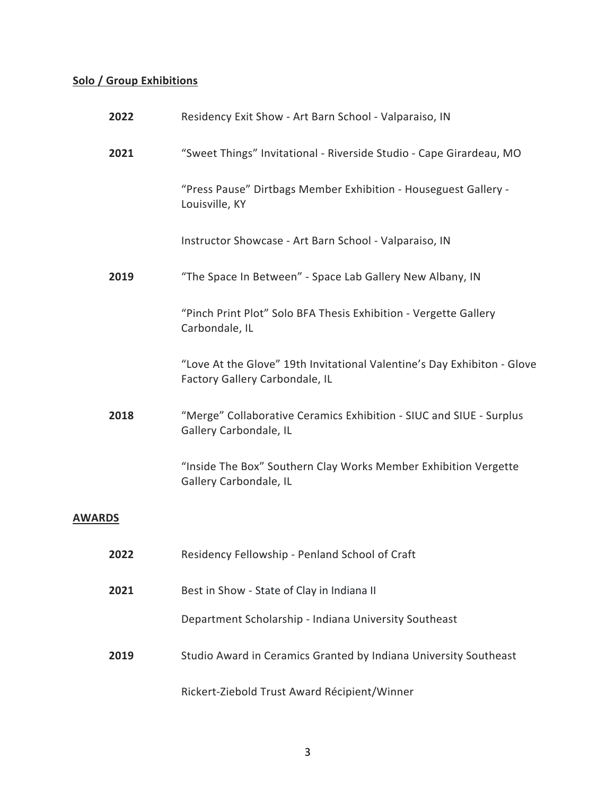## **Solo / Group Exhibitions**

| 2022          | Residency Exit Show - Art Barn School - Valparaiso, IN                                                    |
|---------------|-----------------------------------------------------------------------------------------------------------|
| 2021          | "Sweet Things" Invitational - Riverside Studio - Cape Girardeau, MO                                       |
|               | "Press Pause" Dirtbags Member Exhibition - Houseguest Gallery -<br>Louisville, KY                         |
|               | Instructor Showcase - Art Barn School - Valparaiso, IN                                                    |
| 2019          | "The Space In Between" - Space Lab Gallery New Albany, IN                                                 |
|               | "Pinch Print Plot" Solo BFA Thesis Exhibition - Vergette Gallery<br>Carbondale, IL                        |
|               | "Love At the Glove" 19th Invitational Valentine's Day Exhibiton - Glove<br>Factory Gallery Carbondale, IL |
| 2018          | "Merge" Collaborative Ceramics Exhibition - SIUC and SIUE - Surplus<br>Gallery Carbondale, IL             |
|               | "Inside The Box" Southern Clay Works Member Exhibition Vergette<br>Gallery Carbondale, IL                 |
| <b>AWARDS</b> |                                                                                                           |
| 2022          | Residency Fellowship - Penland School of Craft                                                            |
| 2021          | Best in Show - State of Clay in Indiana II                                                                |
|               | Department Scholarship - Indiana University Southeast                                                     |
| 2019          | Studio Award in Ceramics Granted by Indiana University Southeast                                          |
|               | Rickert-Ziebold Trust Award Récipient/Winner                                                              |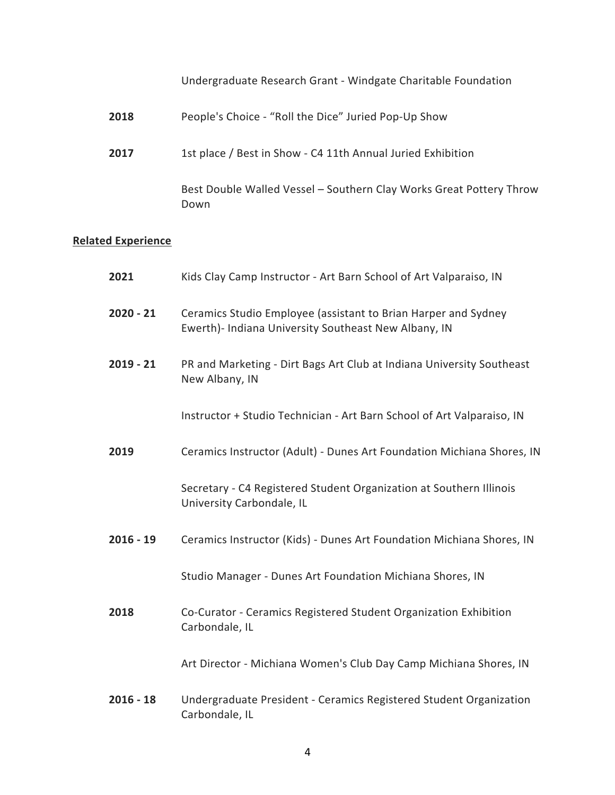Undergraduate Research Grant - Windgate Charitable Foundation

| 2018 | People's Choice - "Roll the Dice" Juried Pop-Up Show                        |
|------|-----------------------------------------------------------------------------|
| 2017 | 1st place / Best in Show - C4 11th Annual Juried Exhibition                 |
|      | Best Double Walled Vessel - Southern Clay Works Great Pottery Throw<br>Down |

# **Related Experience**

| 2021        | Kids Clay Camp Instructor - Art Barn School of Art Valparaiso, IN                                                      |
|-------------|------------------------------------------------------------------------------------------------------------------------|
| $2020 - 21$ | Ceramics Studio Employee (assistant to Brian Harper and Sydney<br>Ewerth)- Indiana University Southeast New Albany, IN |
| $2019 - 21$ | PR and Marketing - Dirt Bags Art Club at Indiana University Southeast<br>New Albany, IN                                |
|             | Instructor + Studio Technician - Art Barn School of Art Valparaiso, IN                                                 |
| 2019        | Ceramics Instructor (Adult) - Dunes Art Foundation Michiana Shores, IN                                                 |
|             | Secretary - C4 Registered Student Organization at Southern Illinois<br>University Carbondale, IL                       |
| $2016 - 19$ | Ceramics Instructor (Kids) - Dunes Art Foundation Michiana Shores, IN                                                  |
|             | Studio Manager - Dunes Art Foundation Michiana Shores, IN                                                              |
| 2018        | Co-Curator - Ceramics Registered Student Organization Exhibition<br>Carbondale, IL                                     |
|             | Art Director - Michiana Women's Club Day Camp Michiana Shores, IN                                                      |
| $2016 - 18$ | Undergraduate President - Ceramics Registered Student Organization<br>Carbondale, IL                                   |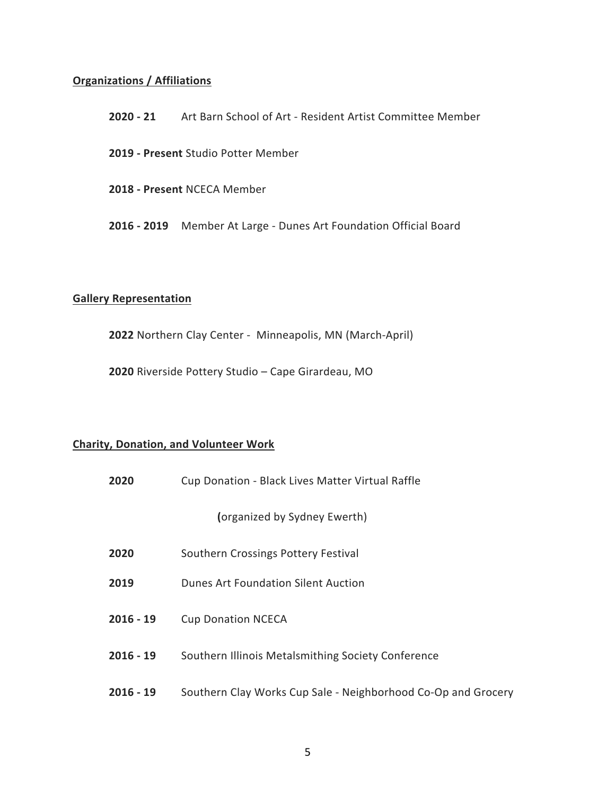### **Organizations / Affiliations**

| $2020 - 21$                         | Art Barn School of Art - Resident Artist Committee Member         |  |
|-------------------------------------|-------------------------------------------------------------------|--|
| 2019 - Present Studio Potter Member |                                                                   |  |
| 2018 - Present NCECA Member         |                                                                   |  |
|                                     | 2016 - 2019 Member At Large - Dunes Art Foundation Official Board |  |

#### **Gallery Representation**

**2022** Northern Clay Center - Minneapolis, MN (March-April)

**2020** Riverside Pottery Studio – Cape Girardeau, MO

### **Charity, Donation, and Volunteer Work**

| 2020        | Cup Donation - Black Lives Matter Virtual Raffle              |
|-------------|---------------------------------------------------------------|
|             | (organized by Sydney Ewerth)                                  |
| 2020        | Southern Crossings Pottery Festival                           |
| 2019        | Dunes Art Foundation Silent Auction                           |
| $2016 - 19$ | <b>Cup Donation NCECA</b>                                     |
| $2016 - 19$ | Southern Illinois Metalsmithing Society Conference            |
| $2016 - 19$ | Southern Clay Works Cup Sale - Neighborhood Co-Op and Grocery |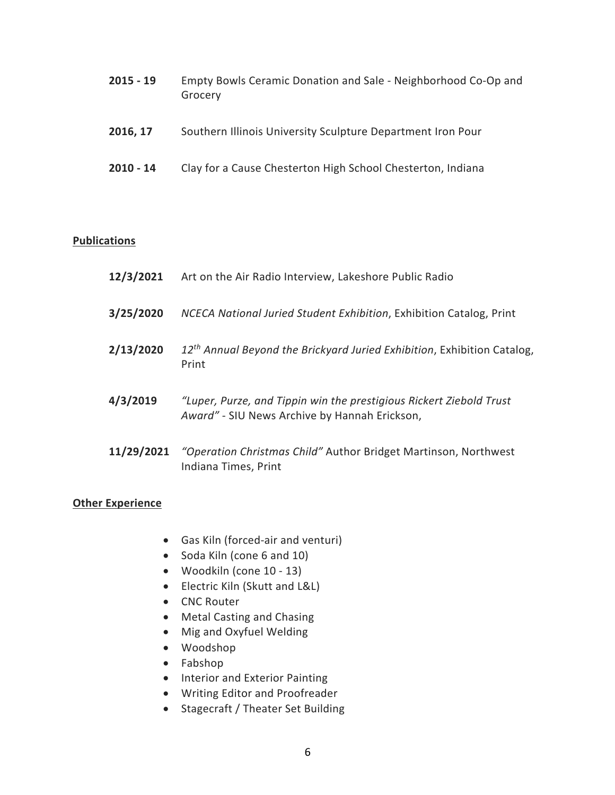| $2015 - 19$ | Empty Bowls Ceramic Donation and Sale - Neighborhood Co-Op and<br>Grocery |
|-------------|---------------------------------------------------------------------------|
| 2016, 17    | Southern Illinois University Sculpture Department Iron Pour               |

**2010 - 14** Clay for a Cause Chesterton High School Chesterton, Indiana

#### **Publications**

| 12/3/2021 | Art on the Air Radio Interview, Lakeshore Public Radio                                                               |
|-----------|----------------------------------------------------------------------------------------------------------------------|
| 3/25/2020 | NCECA National Juried Student Exhibition, Exhibition Catalog, Print                                                  |
| 2/13/2020 | 12 <sup>th</sup> Annual Beyond the Brickyard Juried Exhibition, Exhibition Catalog,<br>Print                         |
| 4/3/2019  | "Luper, Purze, and Tippin win the prestigious Rickert Ziebold Trust<br>Award" - SIU News Archive by Hannah Erickson, |

**11/29/2021** *"Operation Christmas Child"* Author Bridget Martinson, Northwest Indiana Times, Print

### **Other Experience**

- Gas Kiln (forced-air and venturi)
- Soda Kiln (cone 6 and 10)
- Woodkiln (cone 10 13)
- Electric Kiln (Skutt and L&L)
- CNC Router
- Metal Casting and Chasing
- Mig and Oxyfuel Welding
- Woodshop
- Fabshop
- Interior and Exterior Painting
- Writing Editor and Proofreader
- Stagecraft / Theater Set Building